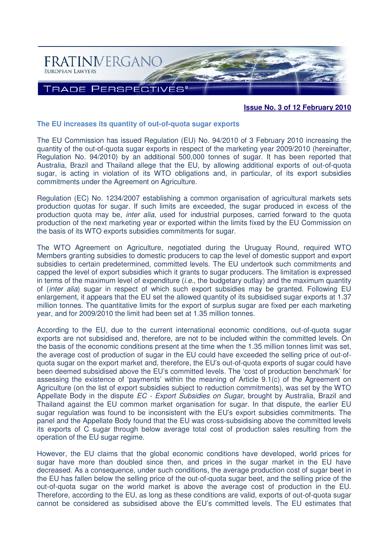

# **Issue No. 3 of 12 February 2010**

### **The EU increases its quantity of out-of-quota sugar exports**

The EU Commission has issued Regulation (EU) No. 94/2010 of 3 February 2010 increasing the quantity of the out-of-quota sugar exports in respect of the marketing year 2009/2010 (hereinafter, Regulation No. 94/2010) by an additional 500,000 tonnes of sugar. It has been reported that Australia, Brazil and Thailand allege that the EU, by allowing additional exports of out-of-quota sugar, is acting in violation of its WTO obligations and, in particular, of its export subsidies commitments under the Agreement on Agriculture.

Regulation (EC) No. 1234/2007 establishing a common organisation of agricultural markets sets production quotas for sugar. If such limits are exceeded, the sugar produced in excess of the production quota may be, inter alia, used for industrial purposes, carried forward to the quota production of the next marketing year or exported within the limits fixed by the EU Commission on the basis of its WTO exports subsidies commitments for sugar.

The WTO Agreement on Agriculture, negotiated during the Uruguay Round, required WTO Members granting subsidies to domestic producers to cap the level of domestic support and export subsidies to certain predetermined, committed levels. The EU undertook such commitments and capped the level of export subsidies which it grants to sugar producers. The limitation is expressed in terms of the maximum level of expenditure  $(i.e.,$  the budgetary outlay) and the maximum quantity of (inter alia) sugar in respect of which such export subsidies may be granted. Following EU enlargement, it appears that the EU set the allowed quantity of its subsidised sugar exports at 1.37 million tonnes. The quantitative limits for the export of surplus sugar are fixed per each marketing year, and for 2009/2010 the limit had been set at 1.35 million tonnes.

According to the EU, due to the current international economic conditions, out-of-quota sugar exports are not subsidised and, therefore, are not to be included within the committed levels. On the basis of the economic conditions present at the time when the 1.35 million tonnes limit was set, the average cost of production of sugar in the EU could have exceeded the selling price of out-ofquota sugar on the export market and, therefore, the EU's out-of-quota exports of sugar could have been deemed subsidised above the EU's committed levels. The 'cost of production benchmark' for assessing the existence of 'payments' within the meaning of Article 9.1(c) of the Agreement on Agriculture (on the list of export subsidies subject to reduction commitments), was set by the WTO Appellate Body in the dispute *EC - Export Subsidies on Sugar*, brought by Australia, Brazil and Thailand against the EU common market organisation for sugar. In that dispute, the earlier EU sugar regulation was found to be inconsistent with the EU's export subsidies commitments. The panel and the Appellate Body found that the EU was cross-subsidising above the committed levels its exports of C sugar through below average total cost of production sales resulting from the operation of the EU sugar regime.

However, the EU claims that the global economic conditions have developed, world prices for sugar have more than doubled since then, and prices in the sugar market in the EU have decreased. As a consequence, under such conditions, the average production cost of sugar beet in the EU has fallen below the selling price of the out-of-quota sugar beet, and the selling price of the out-of-quota sugar on the world market is above the average cost of production in the EU. Therefore, according to the EU, as long as these conditions are valid, exports of out-of-quota sugar cannot be considered as subsidised above the EU's committed levels. The EU estimates that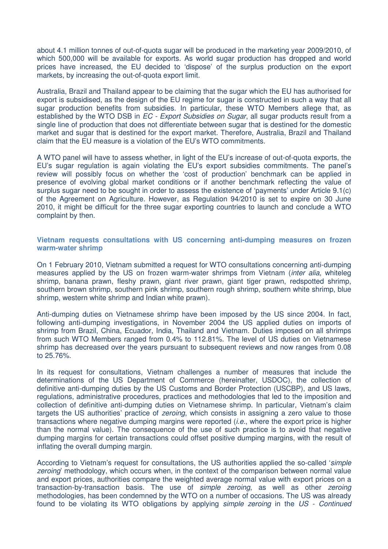about 4.1 million tonnes of out-of-quota sugar will be produced in the marketing year 2009/2010, of which 500,000 will be available for exports. As world sugar production has dropped and world prices have increased, the EU decided to 'dispose' of the surplus production on the export markets, by increasing the out-of-quota export limit.

Australia, Brazil and Thailand appear to be claiming that the sugar which the EU has authorised for export is subsidised, as the design of the EU regime for sugar is constructed in such a way that all sugar production benefits from subsidies. In particular, these WTO Members allege that, as established by the WTO DSB in EC - Export Subsidies on Sugar, all sugar products result from a single line of production that does not differentiate between sugar that is destined for the domestic market and sugar that is destined for the export market. Therefore, Australia, Brazil and Thailand claim that the EU measure is a violation of the EU's WTO commitments.

A WTO panel will have to assess whether, in light of the EU's increase of out-of-quota exports, the EU's sugar regulation is again violating the EU's export subsidies commitments. The panel's review will possibly focus on whether the 'cost of production' benchmark can be applied in presence of evolving global market conditions or if another benchmark reflecting the value of surplus sugar need to be sought in order to assess the existence of 'payments' under Article 9.1(c) of the Agreement on Agriculture. However, as Regulation 94/2010 is set to expire on 30 June 2010, it might be difficult for the three sugar exporting countries to launch and conclude a WTO complaint by then.

**Vietnam requests consultations with US concerning anti-dumping measures on frozen warm-water shrimp**

On 1 February 2010, Vietnam submitted a request for WTO consultations concerning anti-dumping measures applied by the US on frozen warm-water shrimps from Vietnam *(inter alia, whiteleg* shrimp, banana prawn, fleshy prawn, giant river prawn, giant tiger prawn, redspotted shrimp, southern brown shrimp, southern pink shrimp, southern rough shrimp, southern white shrimp, blue shrimp, western white shrimp and Indian white prawn).

Anti-dumping duties on Vietnamese shrimp have been imposed by the US since 2004. In fact, following anti-dumping investigations, in November 2004 the US applied duties on imports of shrimp from Brazil, China, Ecuador, India, Thailand and Vietnam. Duties imposed on all shrimps from such WTO Members ranged from 0.4% to 112.81%. The level of US duties on Vietnamese shrimp has decreased over the years pursuant to subsequent reviews and now ranges from 0.08 to 25.76%.

In its request for consultations, Vietnam challenges a number of measures that include the determinations of the US Department of Commerce (hereinafter, USDOC), the collection of definitive anti-dumping duties by the US Customs and Border Protection (USCBP), and US laws, regulations, administrative procedures, practices and methodologies that led to the imposition and collection of definitive anti-dumping duties on Vietnamese shrimp. In particular, Vietnam's claim targets the US authorities' practice of *zeroing*, which consists in assigning a zero value to those transactions where negative dumping margins were reported (i.e., where the export price is higher than the normal value). The consequence of the use of such practice is to avoid that negative dumping margins for certain transactions could offset positive dumping margins, with the result of inflating the overall dumping margin.

According to Vietnam's request for consultations, the US authorities applied the so-called 'simple zeroing' methodology, which occurs when, in the context of the comparison between normal value and export prices, authorities compare the weighted average normal value with export prices on a transaction-by-transaction basis. The use of simple zeroing, as well as other zeroing methodologies, has been condemned by the WTO on a number of occasions. The US was already found to be violating its WTO obligations by applying *simple zeroing* in the US - Continued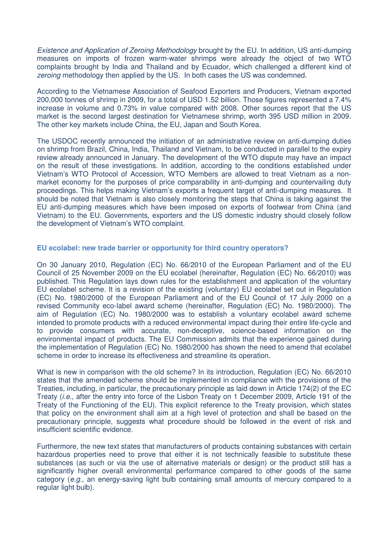Existence and Application of Zeroing Methodology brought by the EU. In addition, US anti-dumping measures on imports of frozen warm-water shrimps were already the object of two WTO complaints brought by India and Thailand and by Ecuador, which challenged a different kind of zeroing methodology then applied by the US. In both cases the US was condemned.

According to the Vietnamese Association of Seafood Exporters and Producers, Vietnam exported 200,000 tonnes of shrimp in 2009, for a total of USD 1.52 billion. Those figures represented a 7.4% increase in volume and 0.73% in value compared with 2008. Other sources report that the US market is the second largest destination for Vietnamese shrimp, worth 395 USD million in 2009. The other key markets include China, the EU, Japan and South Korea.

The USDOC recently announced the initiation of an administrative review on anti-dumping duties on shrimp from Brazil, China, India, Thailand and Vietnam, to be conducted in parallel to the expiry review already announced in January. The development of the WTO dispute may have an impact on the result of these investigations. In addition, according to the conditions established under Vietnam's WTO Protocol of Accession, WTO Members are allowed to treat Vietnam as a nonmarket economy for the purposes of price comparability in anti-dumping and countervailing duty proceedings. This helps making Vietnam's exports a frequent target of anti-dumping measures. It should be noted that Vietnam is also closely monitoring the steps that China is taking against the EU anti-dumping measures which have been imposed on exports of footwear from China (and Vietnam) to the EU. Governments, exporters and the US domestic industry should closely follow the development of Vietnam's WTO complaint.

# **EU ecolabel: new trade barrier or opportunity for third country operators?**

On 30 January 2010, Regulation (EC) No. 66/2010 of the European Parliament and of the EU Council of 25 November 2009 on the EU ecolabel (hereinafter, Regulation (EC) No. 66/2010) was published. This Regulation lays down rules for the establishment and application of the voluntary EU ecolabel scheme. It is a revision of the existing (voluntary) EU ecolabel set out in Regulation (EC) No. 1980/2000 of the European Parliament and of the EU Council of 17 July 2000 on a revised Community eco-label award scheme (hereinafter, Regulation (EC) No. 1980/2000). The aim of Regulation (EC) No. 1980/2000 was to establish a voluntary ecolabel award scheme intended to promote products with a reduced environmental impact during their entire life-cycle and to provide consumers with accurate, non-deceptive, science-based information on the environmental impact of products. The EU Commission admits that the experience gained during the implementation of Regulation (EC) No. 1980/2000 has shown the need to amend that ecolabel scheme in order to increase its effectiveness and streamline its operation.

What is new in comparison with the old scheme? In its introduction, Regulation (EC) No. 66/2010 states that the amended scheme should be implemented in compliance with the provisions of the Treaties, including, in particular, the precautionary principle as laid down in Article 174(2) of the EC Treaty (i.e., after the entry into force of the Lisbon Treaty on 1 December 2009, Article 191 of the Treaty of the Functioning of the EU). This explicit reference to the Treaty provision, which states that policy on the environment shall aim at a high level of protection and shall be based on the precautionary principle, suggests what procedure should be followed in the event of risk and insufficient scientific evidence.

Furthermore, the new text states that manufacturers of products containing substances with certain hazardous properties need to prove that either it is not technically feasible to substitute these substances (as such or via the use of alternative materials or design) or the product still has a significantly higher overall environmental performance compared to other goods of the same category (e.g., an energy-saving light bulb containing small amounts of mercury compared to a regular light bulb).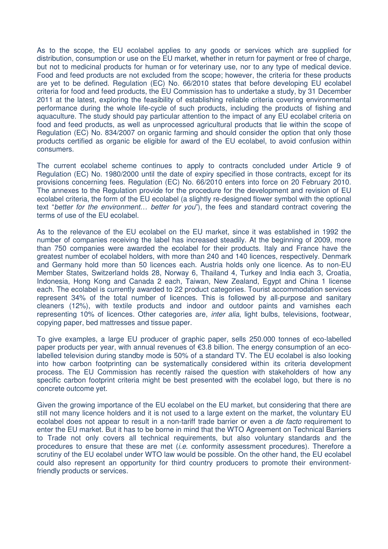As to the scope, the EU ecolabel applies to any goods or services which are supplied for distribution, consumption or use on the EU market, whether in return for payment or free of charge, but not to medicinal products for human or for veterinary use, nor to any type of medical device. Food and feed products are not excluded from the scope; however, the criteria for these products are yet to be defined. Regulation (EC) No. 66/2010 states that before developing EU ecolabel criteria for food and feed products, the EU Commission has to undertake a study, by 31 December 2011 at the latest, exploring the feasibility of establishing reliable criteria covering environmental performance during the whole life-cycle of such products, including the products of fishing and aquaculture. The study should pay particular attention to the impact of any EU ecolabel criteria on food and feed products, as well as unprocessed agricultural products that lie within the scope of Regulation (EC) No. 834/2007 on organic farming and should consider the option that only those products certified as organic be eligible for award of the EU ecolabel, to avoid confusion within consumers.

The current ecolabel scheme continues to apply to contracts concluded under Article 9 of Regulation (EC) No. 1980/2000 until the date of expiry specified in those contracts, except for its provisions concerning fees. Regulation (EC) No. 66/2010 enters into force on 20 February 2010. The annexes to the Regulation provide for the procedure for the development and revision of EU ecolabel criteria, the form of the EU ecolabel (a slightly re-designed flower symbol with the optional text "better for the environment… better for you"), the fees and standard contract covering the terms of use of the EU ecolabel.

As to the relevance of the EU ecolabel on the EU market, since it was established in 1992 the number of companies receiving the label has increased steadily. At the beginning of 2009, more than 750 companies were awarded the ecolabel for their products. Italy and France have the greatest number of ecolabel holders, with more than 240 and 140 licences, respectively. Denmark and Germany hold more than 50 licences each. Austria holds only one licence. As to non-EU Member States, Switzerland holds 28, Norway 6, Thailand 4, Turkey and India each 3, Croatia, Indonesia, Hong Kong and Canada 2 each, Taiwan, New Zealand, Egypt and China 1 license each. The ecolabel is currently awarded to 22 product categories. Tourist accommodation services represent 34% of the total number of licences. This is followed by all-purpose and sanitary cleaners (12%), with textile products and indoor and outdoor paints and varnishes each representing 10% of licences. Other categories are, inter alia, light bulbs, televisions, footwear, copying paper, bed mattresses and tissue paper.

To give examples, a large EU producer of graphic paper, sells 250.000 tonnes of eco-labelled paper products per year, with annual revenues of €3.8 billion. The energy consumption of an ecolabelled television during standby mode is 50% of a standard TV. The EU ecolabel is also looking into how carbon footprinting can be systematically considered within its criteria development process. The EU Commission has recently raised the question with stakeholders of how any specific carbon footprint criteria might be best presented with the ecolabel logo, but there is no concrete outcome yet.

Given the growing importance of the EU ecolabel on the EU market, but considering that there are still not many licence holders and it is not used to a large extent on the market, the voluntary EU ecolabel does not appear to result in a non-tariff trade barrier or even a *de facto* requirement to enter the EU market. But it has to be borne in mind that the WTO Agreement on Technical Barriers to Trade not only covers all technical requirements, but also voluntary standards and the procedures to ensure that these are met (i.e. conformity assessment procedures). Therefore a scrutiny of the EU ecolabel under WTO law would be possible. On the other hand, the EU ecolabel could also represent an opportunity for third country producers to promote their environmentfriendly products or services.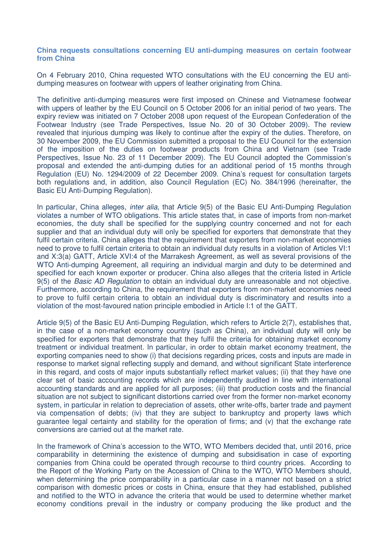### **China requests consultations concerning EU anti-dumping measures on certain footwear from China**

On 4 February 2010, China requested WTO consultations with the EU concerning the EU antidumping measures on footwear with uppers of leather originating from China.

The definitive anti-dumping measures were first imposed on Chinese and Vietnamese footwear with uppers of leather by the EU Council on 5 October 2006 for an initial period of two years. The expiry review was initiated on 7 October 2008 upon request of the European Confederation of the Footwear Industry (see Trade Perspectives, Issue No. 20 of 30 October 2009). The review revealed that injurious dumping was likely to continue after the expiry of the duties. Therefore, on 30 November 2009, the EU Commission submitted a proposal to the EU Council for the extension of the imposition of the duties on footwear products from China and Vietnam (see Trade Perspectives, Issue No. 23 of 11 December 2009). The EU Council adopted the Commission's proposal and extended the anti-dumping duties for an additional period of 15 months through Regulation (EU) No. 1294/2009 of 22 December 2009. China's request for consultation targets both regulations and, in addition, also Council Regulation (EC) No. 384/1996 (hereinafter, the Basic EU Anti-Dumping Regulation).

In particular, China alleges, *inter alia*, that Article 9(5) of the Basic EU Anti-Dumping Regulation violates a number of WTO obligations. This article states that, in case of imports from non-market economies, the duty shall be specified for the supplying country concerned and not for each supplier and that an individual duty will only be specified for exporters that demonstrate that they fulfil certain criteria. China alleges that the requirement that exporters from non-market economies need to prove to fulfil certain criteria to obtain an individual duty results in a violation of Articles VI:1 and X:3(a) GATT, Article XVI:4 of the Marrakesh Agreement, as well as several provisions of the WTO Anti-dumping Agreement, all requiring an individual margin and duty to be determined and specified for each known exporter or producer. China also alleges that the criteria listed in Article 9(5) of the Basic AD Regulation to obtain an individual duty are unreasonable and not objective. Furthermore, according to China, the requirement that exporters from non-market economies need to prove to fulfil certain criteria to obtain an individual duty is discriminatory and results into a violation of the most-favoured nation principle embodied in Article I:1 of the GATT.

Article 9(5) of the Basic EU Anti-Dumping Regulation, which refers to Article 2(7), establishes that, in the case of a non-market economy country (such as China), an individual duty will only be specified for exporters that demonstrate that they fulfil the criteria for obtaining market economy treatment or individual treatment. In particular, in order to obtain market economy treatment, the exporting companies need to show (i) that decisions regarding prices, costs and inputs are made in response to market signal reflecting supply and demand, and without significant State interference in this regard, and costs of major inputs substantially reflect market values; (ii) that they have one clear set of basic accounting records which are independently audited in line with international accounting standards and are applied for all purposes; (iii) that production costs and the financial situation are not subject to significant distortions carried over from the former non-market economy system, in particular in relation to depreciation of assets, other write-offs, barter trade and payment via compensation of debts; (iv) that they are subject to bankruptcy and property laws which guarantee legal certainty and stability for the operation of firms; and (v) that the exchange rate conversions are carried out at the market rate.

In the framework of China's accession to the WTO, WTO Members decided that, until 2016, price comparability in determining the existence of dumping and subsidisation in case of exporting companies from China could be operated through recourse to third country prices. According to the Report of the Working Party on the Accession of China to the WTO, WTO Members should, when determining the price comparability in a particular case in a manner not based on a strict comparison with domestic prices or costs in China, ensure that they had established, published and notified to the WTO in advance the criteria that would be used to determine whether market economy conditions prevail in the industry or company producing the like product and the